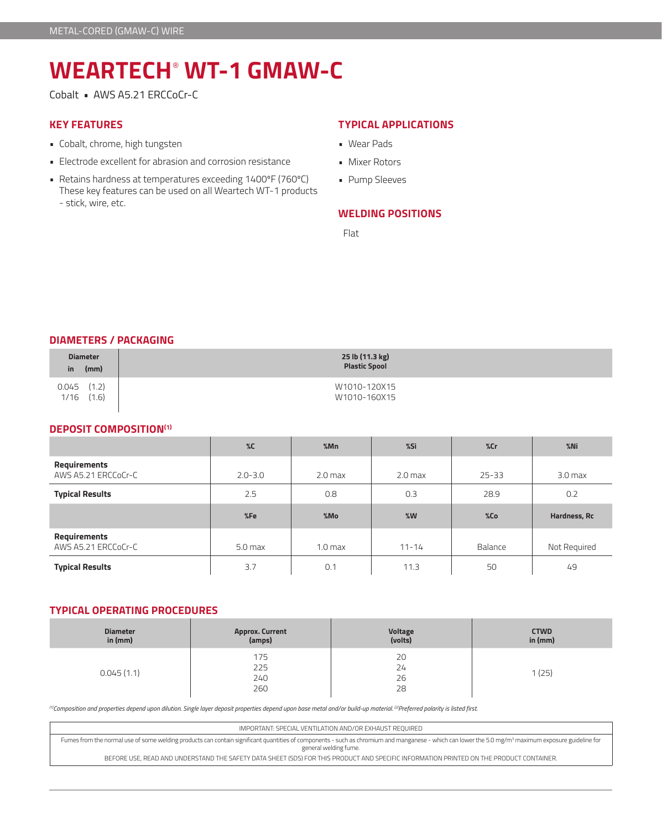# **WEARTECH**®  **WT-1 GMAW-C**

Cobalt • AWS A5.21 ERCCoCr-C

#### **KEY FEATURES**

- Cobalt, chrome, high tungsten
- Electrode excellent for abrasion and corrosion resistance
- Retains hardness at temperatures exceeding 1400ºF (760ºC) These key features can be used on all Weartech WT-1 products - stick, wire, etc.

## **TYPICAL APPLICATIONS**

- Wear Pads
- Mixer Rotors
- Pump Sleeves

# **WELDING POSITIONS**

Flat

#### **DIAMETERS / PACKAGING**

| <b>Diameter</b><br>(mm)<br>in.   | 25 lb (11.3 kg)<br><b>Plastic Spool</b> |
|----------------------------------|-----------------------------------------|
| $0.045$ $(1.2)$<br>1/16<br>(1.6) | W1010-120X15<br>W1010-160X15            |

## **DEPOSIT COMPOSITION(1)**

|                                     | $\%C$              | %Mn                | %Si       | %cr       | $%$ Ni             |
|-------------------------------------|--------------------|--------------------|-----------|-----------|--------------------|
| Requirements<br>AWS A5.21 ERCCoCr-C | $2.0 - 3.0$        | 2.0 <sub>max</sub> | $2.0$ max | $25 - 33$ | 3.0 <sub>max</sub> |
| <b>Typical Results</b>              | 2.5                | 0.8                | 0.3       | 28.9      | 0.2                |
|                                     |                    |                    |           |           |                    |
|                                     | %Fe                | %Mo                | %W        | %Co       | Hardness, Rc       |
| Requirements<br>AWS A5.21 ERCCoCr-C | 5.0 <sub>max</sub> | 1.0 <sub>max</sub> | $11 - 14$ | Balance   | Not Required       |

### **TYPICAL OPERATING PROCEDURES**

| <b>Diameter</b><br>in $(mm)$ | Approx. Current<br>(amps) | Voltage<br>(volts)   | <b>CTWD</b><br>in $(mm)$ |
|------------------------------|---------------------------|----------------------|--------------------------|
| 0.045(1.1)                   | 175<br>225<br>240<br>260  | 20<br>24<br>26<br>28 | (25)                     |

*(1)Composition and properties depend upon dilution. Single layer deposit properties depend upon base metal and/or build-up material. (2)Preferred polarity is listed first.*

| IMPORTANT: SPECIAL VENTILATION AND/OR EXHAUST REOUIRED                                                                                                                                                                                   |
|------------------------------------------------------------------------------------------------------------------------------------------------------------------------------------------------------------------------------------------|
| Fumes from the normal use of some welding products can contain significant quantities of components - such as chromium and manganese - which can lower the 5.0 mg/m <sup>3</sup> maximum exposure guideline for<br>general welding fume. |
| BEFORE USE, READ AND UNDERSTAND THE SAFETY DATA SHEET (SDS) FOR THIS PRODUCT AND SPECIFIC INFORMATION PRINTED ON THE PRODUCT CONTAINER.                                                                                                  |